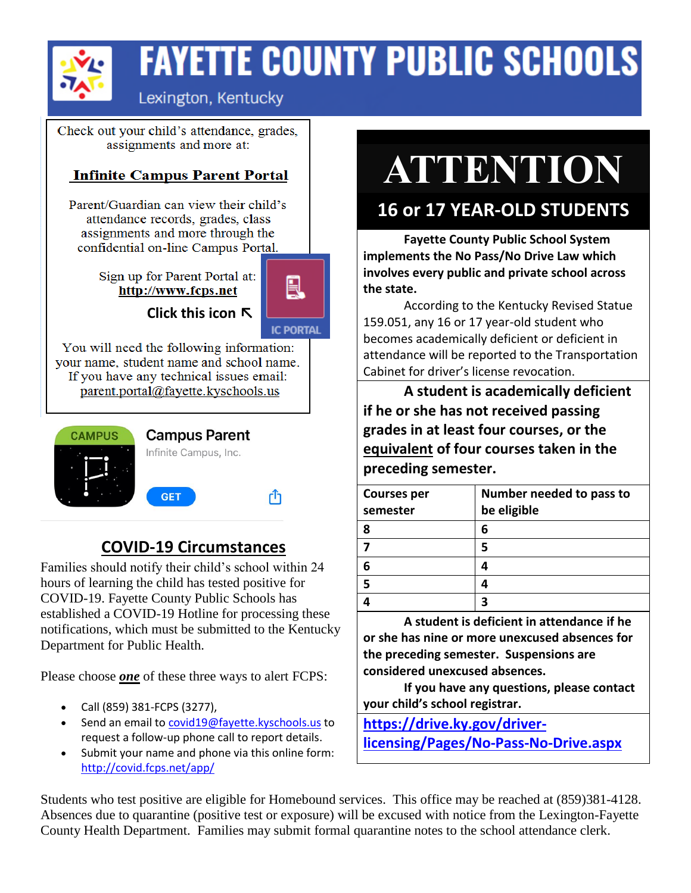

## **FAYETTE COUNTY PUBLIC SCHOOLS**

## Lexington, Kentucky

Check out your child's attendance, grades, assignments and more at:

### **Infinite Campus Parent Portal**

Parent/Guardian can view their child's attendance records, grades, class assignments and more through the confidential on-line Campus Portal.

> Sign up for Parent Portal at: http://www.fcps.net



**Click this icon ↖**

**IC PORTAL** 

You will need the following information: your name, student name and school name. If you have any technical issues email: parent.portal@fayette.kyschools.us



### Infinite Campus, Inc. **GET** rĥ

**Campus Parent** 

## **COVID-19 Circumstances**

Families should notify their child's school within 24 hours of learning the child has tested positive for COVID-19. Fayette County Public Schools has established a COVID-19 Hotline for processing these notifications, which must be submitted to the Kentucky Department for Public Health.

Please choose *one* of these three ways to alert FCPS:

- Call (859) 381-FCPS (3277),
- Send an email to [covid19@fayette.kyschools.us](mailto:covid19@fayette.kyschools.us) to request a follow-up phone call to report details.
- Submit your name and phone via this online form: <http://covid.fcps.net/app/>

# **ATTENTION**

## **16 or 17 YEAR-OLD STUDENTS**

**Fayette County Public School System implements the No Pass/No Drive Law which involves every public and private school across the state.**

According to the Kentucky Revised Statue 159.051, any 16 or 17 year-old student who becomes academically deficient or deficient in attendance will be reported to the Transportation Cabinet for driver's license revocation.

**A student is academically deficient if he or she has not received passing grades in at least four courses, or the equivalent of four courses taken in the preceding semester.**

| Number needed to pass to |
|--------------------------|
| be eligible              |
|                          |
|                          |
|                          |
|                          |
|                          |
|                          |

**A student is deficient in attendance if he or she has nine or more unexcused absences for the preceding semester. Suspensions are considered unexcused absences.**

**If you have any questions, please contact your child's school registrar.**

**[https://drive.ky.gov/driver](https://drive.ky.gov/driver-licensing/Pages/No-Pass-No-Drive.aspx)[licensing/Pages/No-Pass-No-Drive.aspx](https://drive.ky.gov/driver-licensing/Pages/No-Pass-No-Drive.aspx)**

Students who test positive are eligible for Homebound services. This office may be reached at (859)381-4128. Absences due to quarantine (positive test or exposure) will be excused with notice from the Lexington-Fayette County Health Department. Families may submit formal quarantine notes to the school attendance clerk.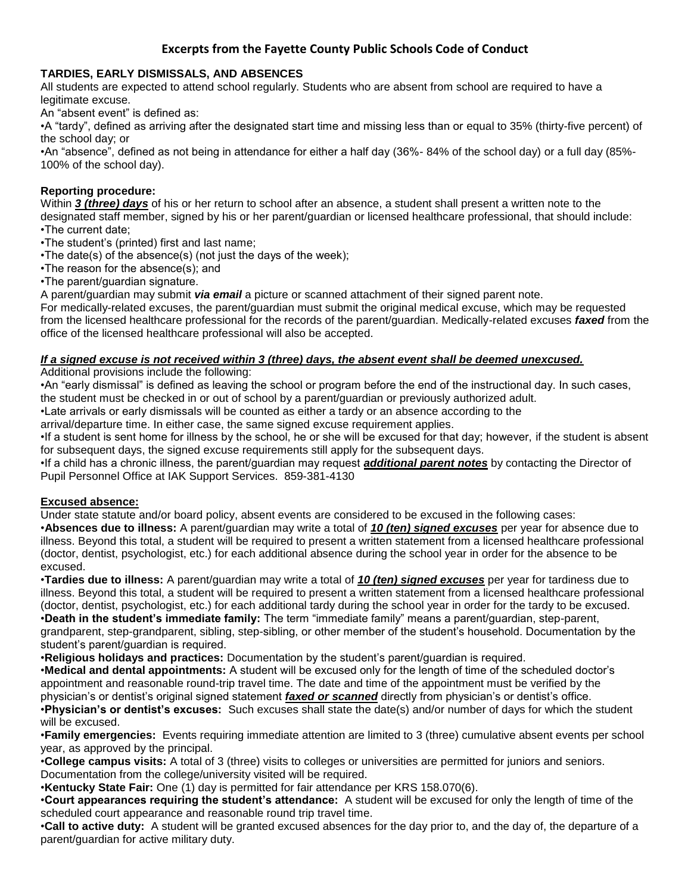#### **Excerpts from the Fayette County Public Schools Code of Conduct**

#### **TARDIES, EARLY DISMISSALS, AND ABSENCES**

All students are expected to attend school regularly. Students who are absent from school are required to have a legitimate excuse.

An "absent event" is defined as:

•A "tardy", defined as arriving after the designated start time and missing less than or equal to 35% (thirty-five percent) of the school day; or

•An "absence", defined as not being in attendance for either a half day (36%- 84% of the school day) or a full day (85%- 100% of the school day).

#### **Reporting procedure:**

Within *3 (three) days* of his or her return to school after an absence, a student shall present a written note to the designated staff member, signed by his or her parent/guardian or licensed healthcare professional, that should include: •The current date;

•The student's (printed) first and last name;

•The date(s) of the absence(s) (not just the days of the week);

•The reason for the absence(s); and

•The parent/guardian signature.

A parent/guardian may submit *via email* a picture or scanned attachment of their signed parent note.

For medically-related excuses, the parent/guardian must submit the original medical excuse, which may be requested from the licensed healthcare professional for the records of the parent/guardian. Medically-related excuses *faxed* from the office of the licensed healthcare professional will also be accepted.

#### *If a signed excuse is not received within 3 (three) days, the absent event shall be deemed unexcused.*

Additional provisions include the following:

•An "early dismissal" is defined as leaving the school or program before the end of the instructional day. In such cases, the student must be checked in or out of school by a parent/guardian or previously authorized adult.

•Late arrivals or early dismissals will be counted as either a tardy or an absence according to the

arrival/departure time. In either case, the same signed excuse requirement applies.

•If a student is sent home for illness by the school, he or she will be excused for that day; however, if the student is absent for subsequent days, the signed excuse requirements still apply for the subsequent days.

•If a child has a chronic illness, the parent/guardian may request *additional parent notes* by contacting the Director of Pupil Personnel Office at IAK Support Services. 859-381-4130

#### **Excused absence:**

Under state statute and/or board policy, absent events are considered to be excused in the following cases:

•**Absences due to illness:** A parent/guardian may write a total of *10 (ten) signed excuses* per year for absence due to illness. Beyond this total, a student will be required to present a written statement from a licensed healthcare professional (doctor, dentist, psychologist, etc.) for each additional absence during the school year in order for the absence to be excused.

•**Tardies due to illness:** A parent/guardian may write a total of *10 (ten) signed excuses* per year for tardiness due to illness. Beyond this total, a student will be required to present a written statement from a licensed healthcare professional (doctor, dentist, psychologist, etc.) for each additional tardy during the school year in order for the tardy to be excused. •**Death in the student's immediate family:** The term "immediate family" means a parent/guardian, step-parent, grandparent, step-grandparent, sibling, step-sibling, or other member of the student's household. Documentation by the student's parent/guardian is required.

•**Religious holidays and practices:** Documentation by the student's parent/guardian is required.

•**Medical and dental appointments:** A student will be excused only for the length of time of the scheduled doctor's appointment and reasonable round-trip travel time. The date and time of the appointment must be verified by the physician's or dentist's original signed statement *faxed or scanned* directly from physician's or dentist's office.

•**Physician's or dentist's excuses:** Such excuses shall state the date(s) and/or number of days for which the student will be excused.

•**Family emergencies:** Events requiring immediate attention are limited to 3 (three) cumulative absent events per school year, as approved by the principal.

•**College campus visits:** A total of 3 (three) visits to colleges or universities are permitted for juniors and seniors. Documentation from the college/university visited will be required.

•**Kentucky State Fair:** One (1) day is permitted for fair attendance per KRS 158.070(6).

•**Court appearances requiring the student's attendance:** A student will be excused for only the length of time of the scheduled court appearance and reasonable round trip travel time.

•**Call to active duty:** A student will be granted excused absences for the day prior to, and the day of, the departure of a parent/guardian for active military duty.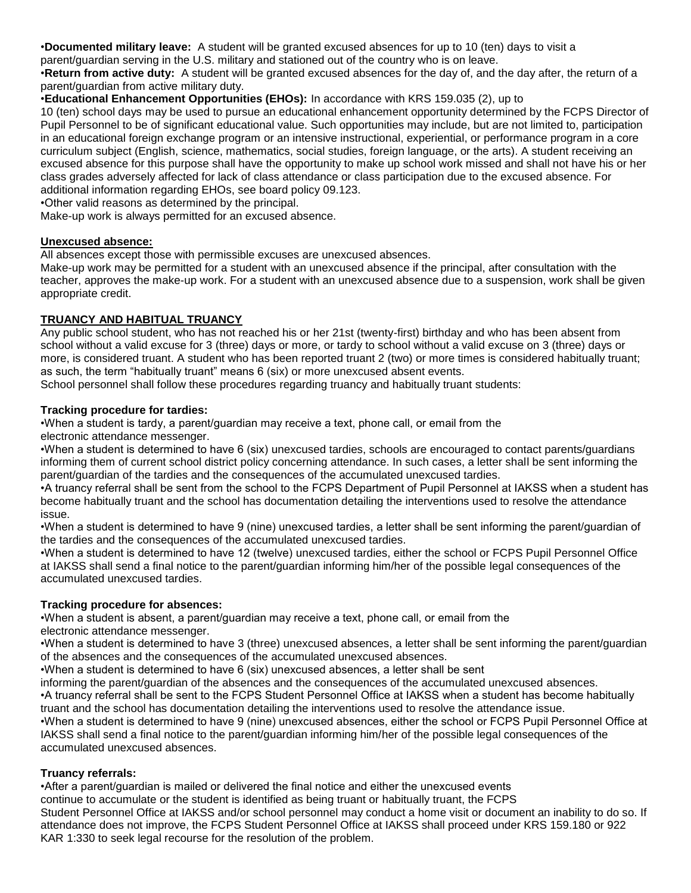•**Documented military leave:** A student will be granted excused absences for up to 10 (ten) days to visit a

parent/guardian serving in the U.S. military and stationed out of the country who is on leave.

•**Return from active duty:** A student will be granted excused absences for the day of, and the day after, the return of a parent/guardian from active military duty.

•**Educational Enhancement Opportunities (EHOs):** In accordance with KRS 159.035 (2), up to

10 (ten) school days may be used to pursue an educational enhancement opportunity determined by the FCPS Director of Pupil Personnel to be of significant educational value. Such opportunities may include, but are not limited to, participation in an educational foreign exchange program or an intensive instructional, experiential, or performance program in a core curriculum subject (English, science, mathematics, social studies, foreign language, or the arts). A student receiving an excused absence for this purpose shall have the opportunity to make up school work missed and shall not have his or her class grades adversely affected for lack of class attendance or class participation due to the excused absence. For additional information regarding EHOs, see board policy 09.123.

•Other valid reasons as determined by the principal.

Make-up work is always permitted for an excused absence.

#### **Unexcused absence:**

All absences except those with permissible excuses are unexcused absences.

Make-up work may be permitted for a student with an unexcused absence if the principal, after consultation with the teacher, approves the make-up work. For a student with an unexcused absence due to a suspension, work shall be given appropriate credit.

#### **TRUANCY AND HABITUAL TRUANCY**

Any public school student, who has not reached his or her 21st (twenty-first) birthday and who has been absent from school without a valid excuse for 3 (three) days or more, or tardy to school without a valid excuse on 3 (three) days or more, is considered truant. A student who has been reported truant 2 (two) or more times is considered habitually truant; as such, the term "habitually truant" means 6 (six) or more unexcused absent events.

School personnel shall follow these procedures regarding truancy and habitually truant students:

#### **Tracking procedure for tardies:**

•When a student is tardy, a parent/guardian may receive a text, phone call, or email from the electronic attendance messenger.

•When a student is determined to have 6 (six) unexcused tardies, schools are encouraged to contact parents/guardians informing them of current school district policy concerning attendance. In such cases, a letter shall be sent informing the parent/guardian of the tardies and the consequences of the accumulated unexcused tardies.

•A truancy referral shall be sent from the school to the FCPS Department of Pupil Personnel at IAKSS when a student has become habitually truant and the school has documentation detailing the interventions used to resolve the attendance issue.

•When a student is determined to have 9 (nine) unexcused tardies, a letter shall be sent informing the parent/guardian of the tardies and the consequences of the accumulated unexcused tardies.

•When a student is determined to have 12 (twelve) unexcused tardies, either the school or FCPS Pupil Personnel Office at IAKSS shall send a final notice to the parent/guardian informing him/her of the possible legal consequences of the accumulated unexcused tardies.

#### **Tracking procedure for absences:**

•When a student is absent, a parent/guardian may receive a text, phone call, or email from the electronic attendance messenger.

•When a student is determined to have 3 (three) unexcused absences, a letter shall be sent informing the parent/guardian of the absences and the consequences of the accumulated unexcused absences.

•When a student is determined to have 6 (six) unexcused absences, a letter shall be sent

informing the parent/guardian of the absences and the consequences of the accumulated unexcused absences.

•A truancy referral shall be sent to the FCPS Student Personnel Office at IAKSS when a student has become habitually truant and the school has documentation detailing the interventions used to resolve the attendance issue.

•When a student is determined to have 9 (nine) unexcused absences, either the school or FCPS Pupil Personnel Office at IAKSS shall send a final notice to the parent/guardian informing him/her of the possible legal consequences of the accumulated unexcused absences.

#### **Truancy referrals:**

•After a parent/guardian is mailed or delivered the final notice and either the unexcused events

continue to accumulate or the student is identified as being truant or habitually truant, the FCPS

Student Personnel Office at IAKSS and/or school personnel may conduct a home visit or document an inability to do so. If attendance does not improve, the FCPS Student Personnel Office at IAKSS shall proceed under KRS 159.180 or 922 KAR 1:330 to seek legal recourse for the resolution of the problem.